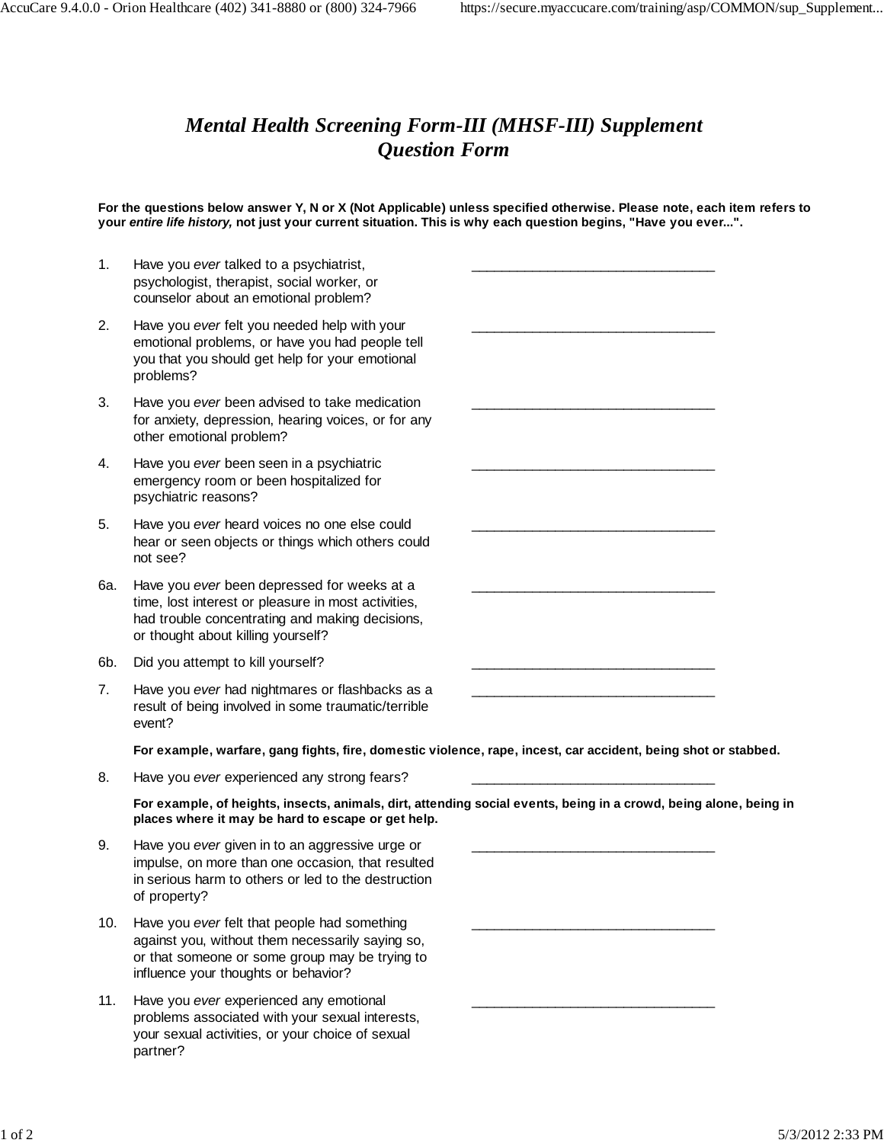\_\_\_\_\_\_\_\_\_\_\_\_\_\_\_\_\_\_\_\_\_\_\_\_\_\_\_\_\_\_\_\_

\_\_\_\_\_\_\_\_\_\_\_\_\_\_\_\_\_\_\_\_\_\_\_\_\_\_\_\_\_\_\_\_

\_\_\_\_\_\_\_\_\_\_\_\_\_\_\_\_\_\_\_\_\_\_\_\_\_\_\_\_\_\_\_\_

\_\_\_\_\_\_\_\_\_\_\_\_\_\_\_\_\_\_\_\_\_\_\_\_\_\_\_\_\_\_\_\_

\_\_\_\_\_\_\_\_\_\_\_\_\_\_\_\_\_\_\_\_\_\_\_\_\_\_\_\_\_\_\_\_

\_\_\_\_\_\_\_\_\_\_\_\_\_\_\_\_\_\_\_\_\_\_\_\_\_\_\_\_\_\_\_\_

\_\_\_\_\_\_\_\_\_\_\_\_\_\_\_\_\_\_\_\_\_\_\_\_\_\_\_\_\_\_\_\_

\_\_\_\_\_\_\_\_\_\_\_\_\_\_\_\_\_\_\_\_\_\_\_\_\_\_\_\_\_\_\_\_

\_\_\_\_\_\_\_\_\_\_\_\_\_\_\_\_\_\_\_\_\_\_\_\_\_\_\_\_\_\_\_\_

\_\_\_\_\_\_\_\_\_\_\_\_\_\_\_\_\_\_\_\_\_\_\_\_\_\_\_\_\_\_\_\_

## *Mental Health Screening Form-III (MHSF-III) Supplement Question Form*

**For the questions below answer Y, N or X (Not Applicable) unless specified otherwise. Please note, each item refers to your entire life history, not just your current situation. This is why each question begins, "Have you ever...".**

- 1. Have you ever talked to a psychiatrist, psychologist, therapist, social worker, or counselor about an emotional problem?
- 2. Have you ever felt you needed help with your emotional problems, or have you had people tell you that you should get help for your emotional problems?
- 3. Have you ever been advised to take medication for anxiety, depression, hearing voices, or for any other emotional problem?
- 4. Have you ever been seen in a psychiatric emergency room or been hospitalized for psychiatric reasons?
- 5. Have you ever heard voices no one else could hear or seen objects or things which others could not see?
- 6a. Have you ever been depressed for weeks at a time, lost interest or pleasure in most activities, had trouble concentrating and making decisions, or thought about killing yourself?
- 6b. Did you attempt to kill yourself?
- 7. Have you ever had nightmares or flashbacks as a result of being involved in some traumatic/terrible event?

**For example, warfare, gang fights, fire, domestic violence, rape, incest, car accident, being shot or stabbed.**

8. Have you ever experienced any strong fears?

**For example, of heights, insects, animals, dirt, attending social events, being in a crowd, being alone, being in places where it may be hard to escape or get help.**

- 9. Have you ever given in to an aggressive urge or impulse, on more than one occasion, that resulted in serious harm to others or led to the destruction of property?
- 10. Have you ever felt that people had something against you, without them necessarily saying so, or that someone or some group may be trying to influence your thoughts or behavior?
- 11. Have you ever experienced any emotional problems associated with your sexual interests, your sexual activities, or your choice of sexual partner?